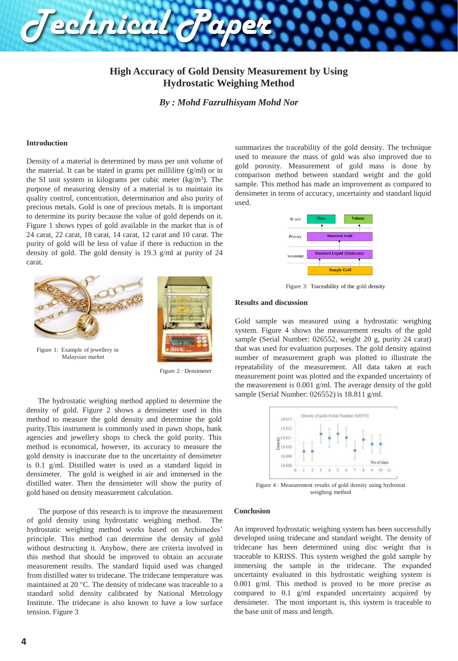## **High Accuracy of Gold Density Measurement by Using Hydrostatic Weighing Method**

*By : Mohd Fazrulhisyam Mohd Nor*

#### **Introduction**

Density of a material is determined by mass per unit volume of the material. It can be stated in grams per millilitre  $(g/ml)$  or in the SI unit system in kilograms per cubic meter (kg/m<sup>3</sup>). The purpose of measuring density of a material is to maintain its quality control, concentration, determination and also purity of precious metals. Gold is one of precious metals. It is important to determine its purity because the value of gold depends on it. Figure 1 shows types of gold available in the market that is of 24 carat, 22 carat, 18 carat, 14 carat, 12 carat and 10 carat. The purity of gold will be less of value if there is reduction in the density of gold. The gold density is 19.3 g/ml at purity of 24 carat.

*Technical Paper*





Figure 1: Example of jewellery in Malaysian market

Figure 2 : Densimeter

The hydrostatic weighing method applied to determine the density of gold. Figure 2 shows a densimeter used in this method to measure the gold density and determine the gold purity.This instrument is commonly used in pawn shops, bank agencies and jewellery shops to check the gold purity. This method is economical, however, its accuracy to measure the gold density is inaccurate due to the uncertainty of densimeter is 0.1 g/ml. Distilled water is used as a standard liquid in densimeter. The gold is weighed in air and immersed in the distilled water. Then the densimeter will show the purity of gold based on density measurement calculation.

The purpose of this research is to improve the measurement of gold density using hydrostatic weighing method. The hydrostatic weighing method works based on Archimedes' principle. This method can determine the density of gold without destructing it. Anyhow, there are criteria involved in this method that should be improved to obtain an accurate measurement results. The standard liquid used was changed from distilled water to tridecane. The tridecane temperature was maintained at 20 °C. The density of tridecane was traceable to a standard solid density calibrated by National Metrology Institute. The tridecane is also known to have a low surface tension. Figure 3

summarizes the traceability of the gold density. The technique used to measure the mass of gold was also improved due to gold porosity. Measurement of gold mass is done by comparison method between standard weight and the gold sample. This method has made an improvement as compared to densimeter in terms of accuracy, uncertainty and standard liquid used.



Figure 3: Traceability of the gold density

## **Results and discussion**

Gold sample was measured using a hydrostatic weighing system. Figure 4 shows the measurement results of the gold sample (Serial Number: 026552, weight 20 g, purity 24 carat) that was used for evaluation purposes. The gold density against number of measurement graph was plotted to illustrate the repeatability of the measurement. All data taken at each measurement point was plotted and the expanded uncertainty of the measurement is 0.001 g/ml. The average density of the gold sample (Serial Number: 026552) is 18.811 g/ml.



weighing method

#### **Conclusion**

An improved hydrostatic weighing system has been successfully developed using tridecane and standard weight. The density of tridecane has been determined using disc weight that is traceable to KRISS. This system weighed the gold sample by immersing the sample in the tridecane. The expanded uncertainty evaluated in this hydrostatic weighing system is 0.001 g/ml. This method is proved to be more precise as compared to 0.1 g/ml expanded uncertainty acquired by densimeter. The most important is, this system is traceable to the base unit of mass and length.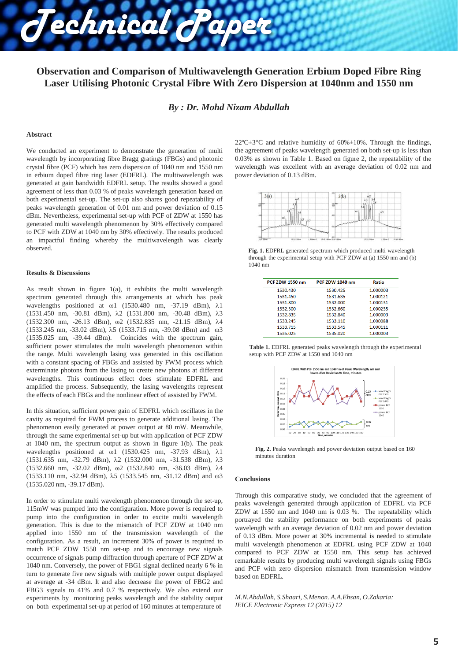# **Observation and Comparison of Multiwavelength Generation Erbium Doped Fibre Ring Laser Utilising Photonic Crystal Fibre With Zero Dispersion at 1040nm and 1550 nm**

*By : Dr. Mohd Nizam Abdullah*

#### **Abstract**

We conducted an experiment to demonstrate the generation of multi wavelength by incorporating fibre Bragg gratings (FBGs) and photonic crystal fibre (PCF) which has zero dispersion of 1040 nm and 1550 nm in erbium doped fibre ring laser (EDFRL). The multiwavelength was generated at gain bandwidth EDFRL setup. The results showed a good agreement of less than 0.03 % of peaks wavelength generation based on both experimental set-up. The set-up also shares good repeatability of peaks wavelength generation of 0.01 nm and power deviation of 0.15 dBm. Nevertheless, experimental set-up with PCF of ZDW at 1550 has generated multi wavelength phenomenon by 30% effectively compared to PCF with ZDW at 1040 nm by 30% effectively. The results produced an impactful finding whereby the multiwavelength was clearly observed.

*Technical Paper*

#### **Results & Discussions**

As result shown in figure  $1(a)$ , it exhibits the multi wavelength spectrum generated through this arrangements at which has peak wavelengths positioned at  $\omega$ 1 (1530.480 nm, -37.19 dBm),  $\lambda$ 1 (1531.450 nm, -30.81 dBm), 2 (1531.800 nm, -30.48 dBm), 3 (1532.300 nm, -26.13 dBm), ω2 (1532.835 nm, -21.15 dBm), 4 (1533.245 nm, -33.02 dBm),  $\lambda$ 5 (1533.715 nm, -39.08 dBm) and  $\omega$ 3 (1535.025 nm, -39.44 dBm). Coincides with the spectrum gain, sufficient power stimulates the multi wavelength phenomenon within the range. Multi wavelength lasing was generated in this oscillation with a constant spacing of FBGs and assisted by FWM process which exterminate photons from the lasing to create new photons at different wavelengths. This continuous effect does stimulate EDFRL and amplified the process. Subsequently, the lasing wavelengths represent the effects of each FBGs and the nonlinear effect of assisted by FWM.

In this situation, sufficient power gain of EDFRL which oscillates in the cavity as required for FWM process to generate additional lasing. The phenomenon easily generated at power output at 80 mW. Meanwhile, through the same experimental set-up but with application of PCF ZDW at 1040 nm, the spectrum output as shown in figure 1(b). The peak wavelengths positioned at  $\omega$ 1 (1530.425 nm, -37.93 dBm),  $\lambda$ 1 (1531.635 nm, -32.79 dBm), 2 (1532.000 nm, -31.538 dBm), 3 (1532.660 nm, -32.02 dBm), ω2 (1532.840 nm, -36.03 dBm), 4  $(1533.110 \text{ nm}, -32.94 \text{ dBm}), \lambda 5 (1533.545 \text{ nm}, -31.12 \text{ dBm})$  and  $\omega 3$ (1535.020 nm, -39.17 dBm).

In order to stimulate multi wavelength phenomenon through the set-up, 115mW was pumped into the configuration. More power is required to pump into the configuration in order to excite multi wavelength generation. This is due to the mismatch of PCF ZDW at 1040 nm applied into 1550 nm of the transmission wavelength of the configuration. As a result, an increment 30% of power is required to match PCF ZDW 1550 nm set-up and to encourage new signals occurrence of signals pump diffraction through aperture of PCF ZDW at 1040 nm. Conversely, the power of FBG1 signal declined nearly 6 % in turn to generate five new signals with multiple power output displayed at average at -34 dBm. It and also decrease the power of FBG2 and FBG3 signals to 41% and 0.7 % respectively. We also extend our experiments by monitoring peaks wavelength and the stability output on both experimental set-up at period of 160 minutes at temperature of

 $22^{\circ}$ C $\pm$ 3°C and relative humidity of 60% $\pm$ 10%. Through the findings, the agreement of peaks wavelength generated on both set-up is less than 0.03% as shown in Table 1. Based on figure 2, the repeatability of the wavelength was excellent with an average deviation of 0.02 nm and power deviation of 0.13 dBm.

| $-148$<br>3(a) | 602      |           | $-211$<br>3(b)    | χ                  |                 |          |
|----------------|----------|-----------|-------------------|--------------------|-----------------|----------|
|                |          |           |                   |                    |                 |          |
| $-348$         | io1      |           | 41                | ico l <sub>a</sub> | 60 <sup>2</sup> |          |
| $-461$         | mondalli | $-693$    |                   |                    |                 |          |
| 1525.00m       | 1532.58m | $1.58m-0$ | 1548.00m 1525.00m | 1532.58m           | $1.50m-2$       | 1542.00m |

**Fig. 1.** EDFRL generated spectrum which produced multi wavelength through the experimental setup with PCF ZDW at (a) 1550 nm and (b) 1040 nm

| Ratio    |
|----------|
| 1.000003 |
| 1.000121 |
| 1.000131 |
| 1.000235 |
| 1.000003 |
| 1.000088 |
| 1.000111 |
| 1.000003 |
|          |

**Table 1.** EDFRL generated peaks wavelength through the experimental setup with PCF ZDW at 1550 and 1040 nm



**Fig. 2.** Peaks wavelength and power deviation output based on 160 minutes duration

#### **Conclusions**

Through this comparative study, we concluded that the agreement of peaks wavelength generated through application of EDFRL via PCF ZDW at 1550 nm and 1040 nm is 0.03 %. The repeatability which portrayed the stability performance on both experiments of peaks wavelength with an average deviation of 0.02 nm and power deviation of 0.13 dBm. More power at 30% incremental is needed to stimulate multi wavelength phenomenon at EDFRL using PCF ZDW at 1040 compared to PCF ZDW at 1550 nm. This setup has achieved remarkable results by producing multi wavelength signals using FBGs and PCF with zero dispersion mismatch from transmission window based on EDFRL.

*M.N.Abdullah, S.Shaari, S.Menon. A.A.Ehsan, O.Zakaria: IEICE Electronic Express 12 (2015) 12*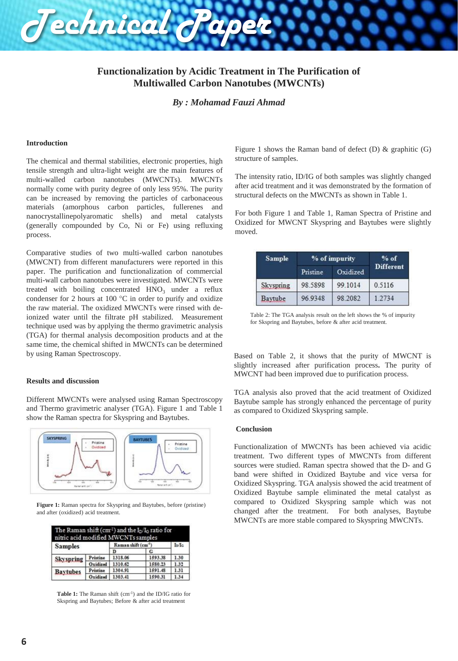

*By : Mohamad Fauzi Ahmad*

#### **Introduction**

The chemical and thermal stabilities, electronic properties, high tensile strength and ultra-light weight are the main features of multi-walled carbon nanotubes (MWCNTs). MWCNTs normally come with purity degree of only less 95%. The purity can be increased by removing the particles of carbonaceous materials (amorphous carbon particles, fullerenes and nanocrystallinepolyaromatic shells) and metal catalysts (generally compounded by Co, Ni or Fe) using refluxing process.

*Technical Paper*

Comparative studies of two multi-walled carbon nanotubes (MWCNT) from different manufacturers were reported in this paper. The purification and functionalization of commercial multi-wall carbon nanotubes were investigated. MWCNTs were treated with boiling concentrated  $HNO<sub>3</sub>$  under a reflux condenser for 2 hours at 100 °C in order to purify and oxidize the raw material. The oxidized MWCNTs were rinsed with deionized water until the filtrate pH stabilized. Measurement technique used was by applying the thermo gravimetric analysis (TGA) for thermal analysis decomposition products and at the same time, the chemical shifted in MWCNTs can be determined by using Raman Spectroscopy.

## **Results and discussion**

Different MWCNTs were analysed using Raman Spectroscopy and Thermo gravimetric analyser (TGA). Figure 1 and Table 1 show the Raman spectra for Skyspring and Baytubes.



**Figure 1:** Raman spectra for Skyspring and Baytubes, before (pristine) and after (oxidized) acid treatment.

| The Raman shift (cm <sup>-1</sup> ) and the $I_D/I_G$ ratio for<br>nitric acid modified MWCNTs samples |          |                                 |         |       |
|--------------------------------------------------------------------------------------------------------|----------|---------------------------------|---------|-------|
| <b>Samples</b>                                                                                         |          | Raman shift (cm <sup>-1</sup> ) |         | In/Io |
|                                                                                                        |          | D                               | G       |       |
| <b>Skyspring</b>                                                                                       | Pristine | 1318.06                         | 1593.38 | 1.30  |
|                                                                                                        | Oxidized | 1310.62                         | 1580.23 | 1.32  |
| <b>Baytubes</b>                                                                                        | Pristine | 1304.91                         | 1591.48 | 1.31  |
|                                                                                                        | Oxidized | 1303.41                         | 1590.31 | 1.34  |

Table 1: The Raman shift (cm<sup>-1</sup>) and the ID/IG ratio for Skspring and Baytubes; Before & after acid treatment

Figure 1 shows the Raman band of defect (D)  $\&$  graphitic (G) structure of samples.

The intensity ratio, ID/IG of both samples was slightly changed after acid treatment and it was demonstrated by the formation of structural defects on the MWCNTs as shown in Table 1.

For both Figure 1 and Table 1, Raman Spectra of Pristine and Oxidized for MWCNT Skyspring and Baytubes were slightly moved.

| <b>Sample</b> | % of impurity | $%$ of   |                  |  |
|---------------|---------------|----------|------------------|--|
|               | Pristine      | Oxidized | <b>Different</b> |  |
| Skyspring     | 98.5898       | 99.1014  | 0.5116           |  |
| Baytube       | 96.9348       | 98.2082  | 1 2734           |  |

Table 2: The TGA analysis result on the left shows the % of impurity for Skspring and Baytubes, before & after acid treatment.

Based on Table 2, it shows that the purity of MWCNT is slightly increased after purification process**.** The purity of MWCNT had been improved due to purification process.

TGA analysis also proved that the acid treatment of Oxidized Baytube sample has strongly enhanced the percentage of purity as compared to Oxidized Skyspring sample.

## **Conclusion**

Functionalization of MWCNTs has been achieved via acidic treatment*.* Two different types of MWCNTs from different sources were studied. Raman spectra showed that the D- and G band were shifted in Oxidized Baytube and vice versa for Oxidized Skyspring. TGA analysis showed the acid treatment of Oxidized Baytube sample eliminated the metal catalyst as compared to Oxidized Skyspring sample which was not changed after the treatment. For both analyses, Baytube MWCNTs are more stable compared to Skyspring MWCNTs.